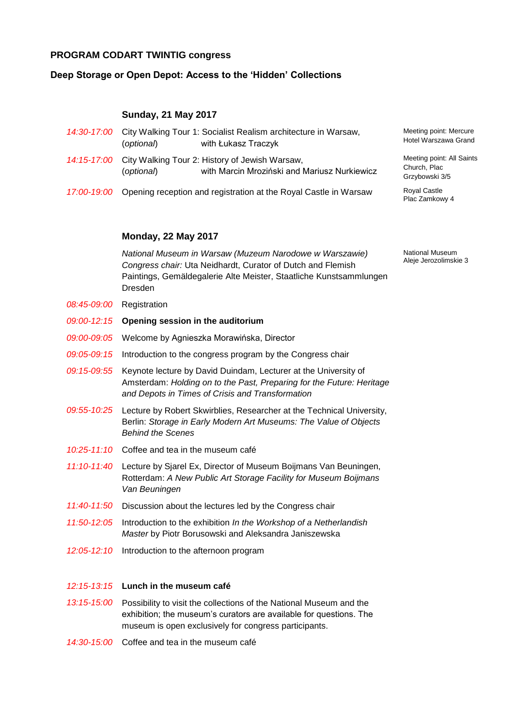# **PROGRAM CODART TWINTIG congress**

# **Deep Storage or Open Depot: Access to the 'Hidden' Collections**

# **Sunday, 21 May 2017**

| 14:30-17:00 City Walking Tour 1: Socialist Realism architecture in Warsaw,<br>with Łukasz Traczyk<br>(optional)          | Meeting poir<br>Hotel Warsza                |
|--------------------------------------------------------------------------------------------------------------------------|---------------------------------------------|
| 14:15-17:00 City Walking Tour 2: History of Jewish Warsaw,<br>with Marcin Mroziński and Mariusz Nurkiewicz<br>(optional) | Meeting poir<br>Church, Plac<br>Grzybowski: |
| 17:00-19:00 Opening reception and registration at the Royal Castle in Warsaw                                             | <b>Royal Castle</b><br>Plac Zamkoy          |

## **Monday, 22 May 2017**

*National Museum in Warsaw (Muzeum Narodowe w Warszawie) Congress chair:* Uta Neidhardt, Curator of Dutch and Flemish Paintings, Gemäldegalerie Alte Meister, Staatliche Kunstsammlungen Dresden

- *08:45-09:00* Registration
- *09:00-12:15* **Opening session in the auditorium**
- *09:00-09:05* Welcome by Agnieszka Morawińska, Director
- *09:05-09:15* Introduction to the congress program by the Congress chair
- *09:15-09:55* Keynote lecture by David Duindam, Lecturer at the University of Amsterdam: *Holding on to the Past, Preparing for the Future: Heritage and Depots in Times of Crisis and Transformation*
- *09:55-10:25* Lecture by Robert Skwirblies, Researcher at the Technical University, Berlin: *Storage in Early Modern Art Museums: The Value of Objects Behind the Scenes*
- *10:25-11:10* Coffee and tea in the museum café
- *11:10-11:40* Lecture by Sjarel Ex, Director of Museum Boijmans Van Beuningen, Rotterdam: *A New Public Art Storage Facility for Museum Boijmans Van Beuningen*
- *11:40-11:50* Discussion about the lectures led by the Congress chair
- *11:50-12:05* Introduction to the exhibition *In the Workshop of a Netherlandish Master* by Piotr Borusowski and Aleksandra Janiszewska
- *12:05-12:10* Introduction to the afternoon program

#### *12:15-13:15* **Lunch in the museum café**

- *13:15-15:00* Possibility to visit the collections of the National Museum and the exhibition; the museum's curators are available for questions. The museum is open exclusively for congress participants.
- *14:30-15:00* Coffee and tea in the museum café

Meeting point: Mercure Hotel Warszawa Grand

Meeting point: All Saints Church, Plac Grzybowski 3/5

Plac Zamkowy 4

National Museum Aleje Jerozolimskie 3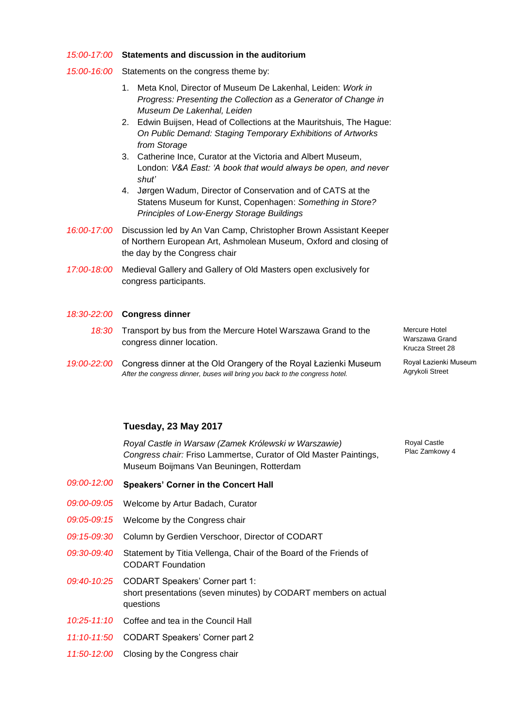### *15:00-17:00* **Statements and discussion in the auditorium**

- *15:00-16:00* Statements on the congress theme by:
	- 1. Meta Knol, Director of Museum De Lakenhal, Leiden: *Work in Progress: Presenting the Collection as a Generator of Change in Museum De Lakenhal, Leiden*
	- 2. Edwin Buijsen, Head of Collections at the Mauritshuis, The Hague: *On Public Demand: Staging Temporary Exhibitions of Artworks from Storage*
	- 3. Catherine Ince, Curator at the Victoria and Albert Museum, London: *V&A East: 'A book that would always be open, and never shut'*
	- 4. Jørgen Wadum, Director of Conservation and of CATS at the Statens Museum for Kunst, Copenhagen: *Something in Store? Principles of Low-Energy Storage Buildings*
- *16:00-17:00* Discussion led by An Van Camp, Christopher Brown Assistant Keeper of Northern European Art, Ashmolean Museum, Oxford and closing of the day by the Congress chair
- *17:00-18:00* Medieval Gallery and Gallery of Old Masters open exclusively for congress participants.

### *18:30-22:00* **Congress dinner**

- *18:30* Transport by bus from the Mercure Hotel Warszawa Grand to the congress dinner location.
- *19:00-22:00* Congress dinner at the Old Orangery of the Royal Łazienki Museum *After the congress dinner, buses will bring you back to the congress hotel.*

## **Tuesday, 23 May 2017**

*Royal Castle in Warsaw (Zamek Królewski w Warszawie) Congress chair:* Friso Lammertse, Curator of Old Master Paintings, Museum Boijmans Van Beuningen, Rotterdam

| <i>09:00-12:00</i>   | <b>Speakers' Corner in the Concert Hall</b>                                                                                 |
|----------------------|-----------------------------------------------------------------------------------------------------------------------------|
| <i>09:00-09:05</i>   | Welcome by Artur Badach, Curator                                                                                            |
| <i>09:05-09:15</i>   | Welcome by the Congress chair                                                                                               |
| <i>09:15-09:30</i>   | Column by Gerdien Verschoor, Director of CODART                                                                             |
| <i>09:30-09:40</i>   | Statement by Titia Vellenga, Chair of the Board of the Friends of<br><b>CODART Foundation</b>                               |
|                      | 09:40-10:25 CODART Speakers' Corner part 1:<br>short presentations (seven minutes) by CODART members on actual<br>questions |
|                      | 10:25-11:10 Coffee and tea in the Council Hall                                                                              |
| <u>11:10-11:50  </u> | <b>CODART Speakers' Corner part 2</b>                                                                                       |
| 11:50-12:00          | Closing by the Congress chair                                                                                               |

Mercure Hotel Warszawa Grand Krucza Street 28

Royal Łazienki Museum Agrykoli Street

Royal Castle Plac Zamkowy 4